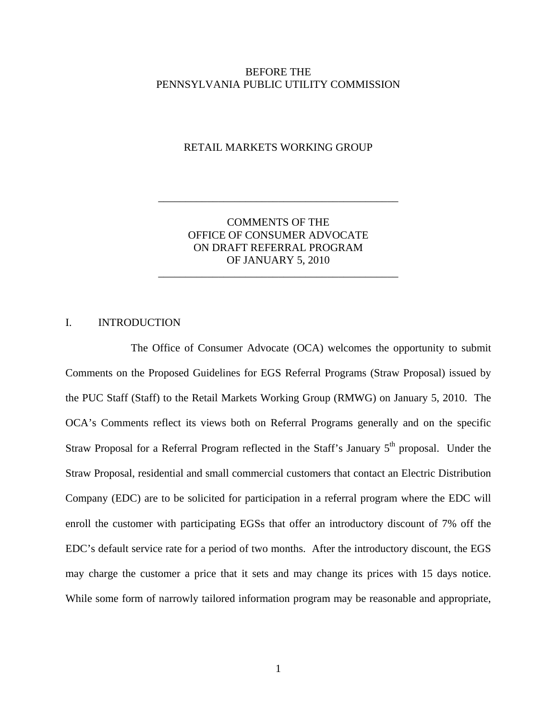## BEFORE THE PENNSYLVANIA PUBLIC UTILITY COMMISSION

#### RETAIL MARKETS WORKING GROUP

# COMMENTS OF THE OFFICE OF CONSUMER ADVOCATE ON DRAFT REFERRAL PROGRAM OF JANUARY 5, 2010

\_\_\_\_\_\_\_\_\_\_\_\_\_\_\_\_\_\_\_\_\_\_\_\_\_\_\_\_\_\_\_\_\_\_\_\_\_\_\_\_\_\_\_\_

\_\_\_\_\_\_\_\_\_\_\_\_\_\_\_\_\_\_\_\_\_\_\_\_\_\_\_\_\_\_\_\_\_\_\_\_\_\_\_\_\_\_\_\_

### I. INTRODUCTION

 The Office of Consumer Advocate (OCA) welcomes the opportunity to submit Comments on the Proposed Guidelines for EGS Referral Programs (Straw Proposal) issued by the PUC Staff (Staff) to the Retail Markets Working Group (RMWG) on January 5, 2010. The OCA's Comments reflect its views both on Referral Programs generally and on the specific Straw Proposal for a Referral Program reflected in the Staff's January  $5<sup>th</sup>$  proposal. Under the Straw Proposal, residential and small commercial customers that contact an Electric Distribution Company (EDC) are to be solicited for participation in a referral program where the EDC will enroll the customer with participating EGSs that offer an introductory discount of 7% off the EDC's default service rate for a period of two months. After the introductory discount, the EGS may charge the customer a price that it sets and may change its prices with 15 days notice. While some form of narrowly tailored information program may be reasonable and appropriate,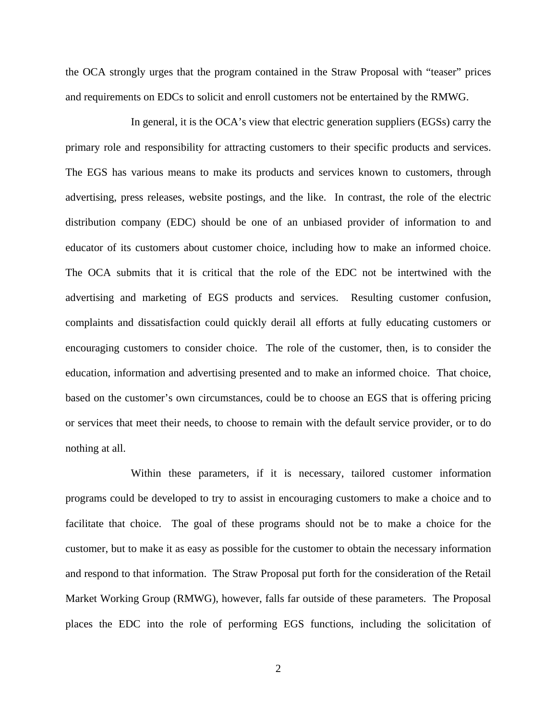the OCA strongly urges that the program contained in the Straw Proposal with "teaser" prices and requirements on EDCs to solicit and enroll customers not be entertained by the RMWG.

 In general, it is the OCA's view that electric generation suppliers (EGSs) carry the primary role and responsibility for attracting customers to their specific products and services. The EGS has various means to make its products and services known to customers, through advertising, press releases, website postings, and the like. In contrast, the role of the electric distribution company (EDC) should be one of an unbiased provider of information to and educator of its customers about customer choice, including how to make an informed choice. The OCA submits that it is critical that the role of the EDC not be intertwined with the advertising and marketing of EGS products and services. Resulting customer confusion, complaints and dissatisfaction could quickly derail all efforts at fully educating customers or encouraging customers to consider choice. The role of the customer, then, is to consider the education, information and advertising presented and to make an informed choice. That choice, based on the customer's own circumstances, could be to choose an EGS that is offering pricing or services that meet their needs, to choose to remain with the default service provider, or to do nothing at all.

 Within these parameters, if it is necessary, tailored customer information programs could be developed to try to assist in encouraging customers to make a choice and to facilitate that choice. The goal of these programs should not be to make a choice for the customer, but to make it as easy as possible for the customer to obtain the necessary information and respond to that information. The Straw Proposal put forth for the consideration of the Retail Market Working Group (RMWG), however, falls far outside of these parameters. The Proposal places the EDC into the role of performing EGS functions, including the solicitation of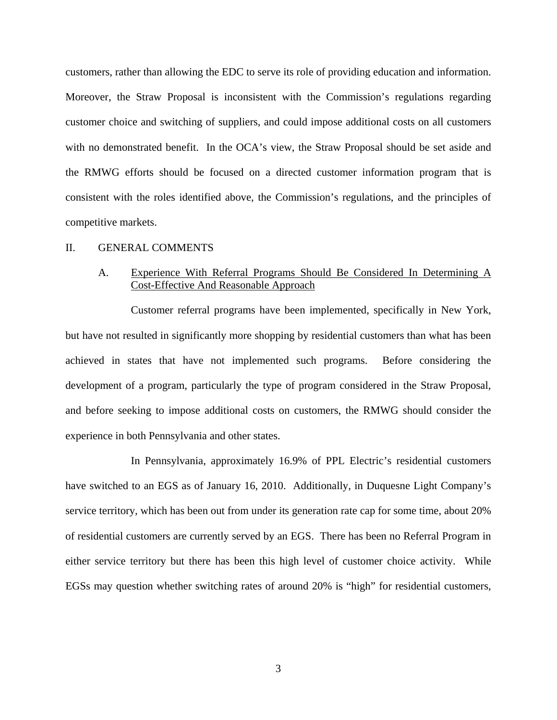customers, rather than allowing the EDC to serve its role of providing education and information. Moreover, the Straw Proposal is inconsistent with the Commission's regulations regarding customer choice and switching of suppliers, and could impose additional costs on all customers with no demonstrated benefit. In the OCA's view, the Straw Proposal should be set aside and the RMWG efforts should be focused on a directed customer information program that is consistent with the roles identified above, the Commission's regulations, and the principles of competitive markets.

#### II. GENERAL COMMENTS

# A. Experience With Referral Programs Should Be Considered In Determining A Cost-Effective And Reasonable Approach

Customer referral programs have been implemented, specifically in New York, but have not resulted in significantly more shopping by residential customers than what has been achieved in states that have not implemented such programs. Before considering the development of a program, particularly the type of program considered in the Straw Proposal, and before seeking to impose additional costs on customers, the RMWG should consider the experience in both Pennsylvania and other states.

 In Pennsylvania, approximately 16.9% of PPL Electric's residential customers have switched to an EGS as of January 16, 2010. Additionally, in Duquesne Light Company's service territory, which has been out from under its generation rate cap for some time, about 20% of residential customers are currently served by an EGS. There has been no Referral Program in either service territory but there has been this high level of customer choice activity. While EGSs may question whether switching rates of around 20% is "high" for residential customers,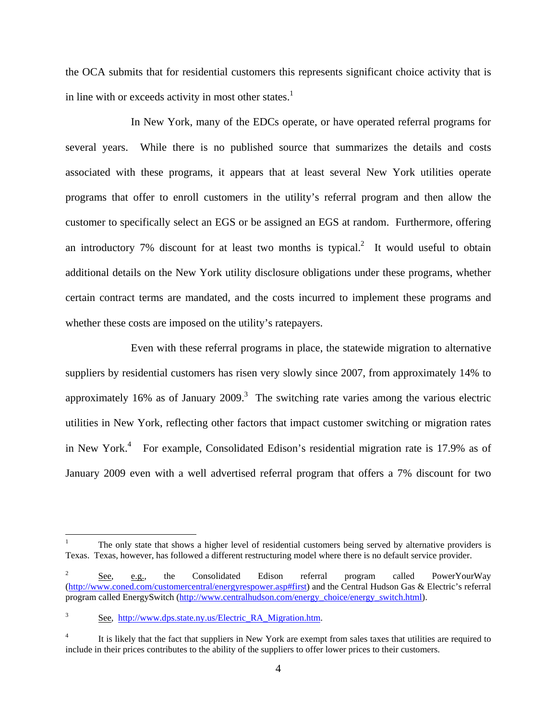the OCA submits that for residential customers this represents significant choice activity that is in line with or exceeds activity in most other states.<sup>1</sup>

 In New York, many of the EDCs operate, or have operated referral programs for several years. While there is no published source that summarizes the details and costs associated with these programs, it appears that at least several New York utilities operate programs that offer to enroll customers in the utility's referral program and then allow the customer to specifically select an EGS or be assigned an EGS at random. Furthermore, offering an introductory 7% discount for at least two months is typical.<sup>2</sup> It would useful to obtain additional details on the New York utility disclosure obligations under these programs, whether certain contract terms are mandated, and the costs incurred to implement these programs and whether these costs are imposed on the utility's ratepayers.

 Even with these referral programs in place, the statewide migration to alternative suppliers by residential customers has risen very slowly since 2007, from approximately 14% to approximately 16% as of January 2009.<sup>3</sup> The switching rate varies among the various electric utilities in New York, reflecting other factors that impact customer switching or migration rates in New York.<sup>4</sup> For example, Consolidated Edison's residential migration rate is 17.9% as of January 2009 even with a well advertised referral program that offers a 7% discount for two

1

<sup>1</sup> The only state that shows a higher level of residential customers being served by alternative providers is Texas. Texas, however, has followed a different restructuring model where there is no default service provider.

<sup>2</sup> See, e.g., the Consolidated Edison referral program called PowerYourWay (http://www.coned.com/customercentral/energyrespower.asp#first) and the Central Hudson Gas & Electric's referral program called EnergySwitch (http://www.centralhudson.com/energy\_choice/energy\_switch.html).

<sup>3</sup> See, http://www.dps.state.ny.us/Electric RA Migration.htm.

<sup>4</sup> It is likely that the fact that suppliers in New York are exempt from sales taxes that utilities are required to include in their prices contributes to the ability of the suppliers to offer lower prices to their customers.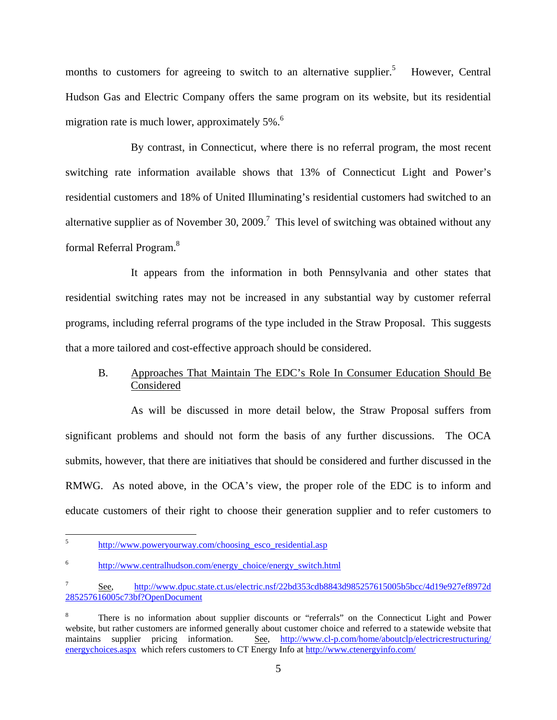months to customers for agreeing to switch to an alternative supplier.<sup>5</sup> However, Central Hudson Gas and Electric Company offers the same program on its website, but its residential migration rate is much lower, approximately  $5\%$ .<sup>6</sup>

 By contrast, in Connecticut, where there is no referral program, the most recent switching rate information available shows that 13% of Connecticut Light and Power's residential customers and 18% of United Illuminating's residential customers had switched to an alternative supplier as of November 30, 2009.<sup>7</sup> This level of switching was obtained without any formal Referral Program.<sup>8</sup>

 It appears from the information in both Pennsylvania and other states that residential switching rates may not be increased in any substantial way by customer referral programs, including referral programs of the type included in the Straw Proposal. This suggests that a more tailored and cost-effective approach should be considered.

# B. Approaches That Maintain The EDC's Role In Consumer Education Should Be Considered

 As will be discussed in more detail below, the Straw Proposal suffers from significant problems and should not form the basis of any further discussions. The OCA submits, however, that there are initiatives that should be considered and further discussed in the RMWG. As noted above, in the OCA's view, the proper role of the EDC is to inform and educate customers of their right to choose their generation supplier and to refer customers to

 $\frac{1}{5}$ http://www.poweryourway.com/choosing\_esco\_residential.asp

<sup>6</sup> http://www.centralhudson.com/energy\_choice/energy\_switch.html

<sup>7</sup> See, http://www.dpuc.state.ct.us/electric.nsf/22bd353cdb8843d985257615005b5bcc/4d19e927ef8972d 285257616005c73bf?OpenDocument

<sup>8</sup> There is no information about supplier discounts or "referrals" on the Connecticut Light and Power website, but rather customers are informed generally about customer choice and referred to a statewide website that maintains supplier pricing information. See, http://www.cl-p.com/home/aboutclp/electricrestructuring/ energychoices.aspx which refers customers to CT Energy Info at http://www.ctenergyinfo.com/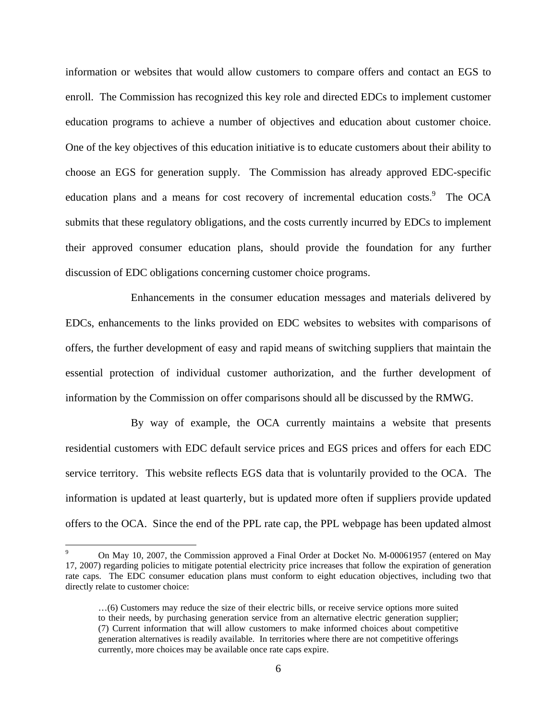information or websites that would allow customers to compare offers and contact an EGS to enroll. The Commission has recognized this key role and directed EDCs to implement customer education programs to achieve a number of objectives and education about customer choice. One of the key objectives of this education initiative is to educate customers about their ability to choose an EGS for generation supply. The Commission has already approved EDC-specific education plans and a means for cost recovery of incremental education costs.<sup>9</sup> The OCA submits that these regulatory obligations, and the costs currently incurred by EDCs to implement their approved consumer education plans, should provide the foundation for any further discussion of EDC obligations concerning customer choice programs.

 Enhancements in the consumer education messages and materials delivered by EDCs, enhancements to the links provided on EDC websites to websites with comparisons of offers, the further development of easy and rapid means of switching suppliers that maintain the essential protection of individual customer authorization, and the further development of information by the Commission on offer comparisons should all be discussed by the RMWG.

 By way of example, the OCA currently maintains a website that presents residential customers with EDC default service prices and EGS prices and offers for each EDC service territory. This website reflects EGS data that is voluntarily provided to the OCA. The information is updated at least quarterly, but is updated more often if suppliers provide updated offers to the OCA. Since the end of the PPL rate cap, the PPL webpage has been updated almost

1

<sup>9</sup> On May 10, 2007, the Commission approved a Final Order at Docket No. M-00061957 (entered on May 17, 2007) regarding policies to mitigate potential electricity price increases that follow the expiration of generation rate caps. The EDC consumer education plans must conform to eight education objectives, including two that directly relate to customer choice:

<sup>…(6)</sup> Customers may reduce the size of their electric bills, or receive service options more suited to their needs, by purchasing generation service from an alternative electric generation supplier; (7) Current information that will allow customers to make informed choices about competitive generation alternatives is readily available. In territories where there are not competitive offerings currently, more choices may be available once rate caps expire.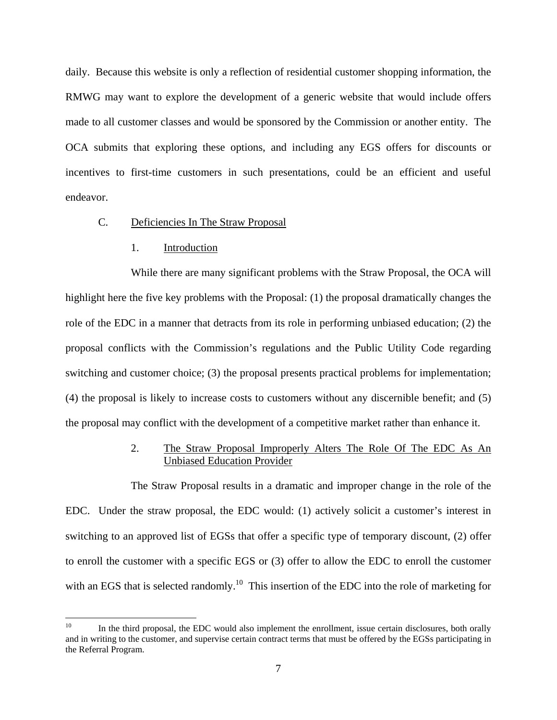daily. Because this website is only a reflection of residential customer shopping information, the RMWG may want to explore the development of a generic website that would include offers made to all customer classes and would be sponsored by the Commission or another entity. The OCA submits that exploring these options, and including any EGS offers for discounts or incentives to first-time customers in such presentations, could be an efficient and useful endeavor.

#### C. Deficiencies In The Straw Proposal

#### 1. Introduction

 While there are many significant problems with the Straw Proposal, the OCA will highlight here the five key problems with the Proposal: (1) the proposal dramatically changes the role of the EDC in a manner that detracts from its role in performing unbiased education; (2) the proposal conflicts with the Commission's regulations and the Public Utility Code regarding switching and customer choice; (3) the proposal presents practical problems for implementation; (4) the proposal is likely to increase costs to customers without any discernible benefit; and (5) the proposal may conflict with the development of a competitive market rather than enhance it.

# 2. The Straw Proposal Improperly Alters The Role Of The EDC As An Unbiased Education Provider

 The Straw Proposal results in a dramatic and improper change in the role of the EDC. Under the straw proposal, the EDC would: (1) actively solicit a customer's interest in switching to an approved list of EGSs that offer a specific type of temporary discount, (2) offer to enroll the customer with a specific EGS or (3) offer to allow the EDC to enroll the customer with an EGS that is selected randomly.<sup>10</sup> This insertion of the EDC into the role of marketing for

<sup>10</sup> In the third proposal, the EDC would also implement the enrollment, issue certain disclosures, both orally and in writing to the customer, and supervise certain contract terms that must be offered by the EGSs participating in the Referral Program.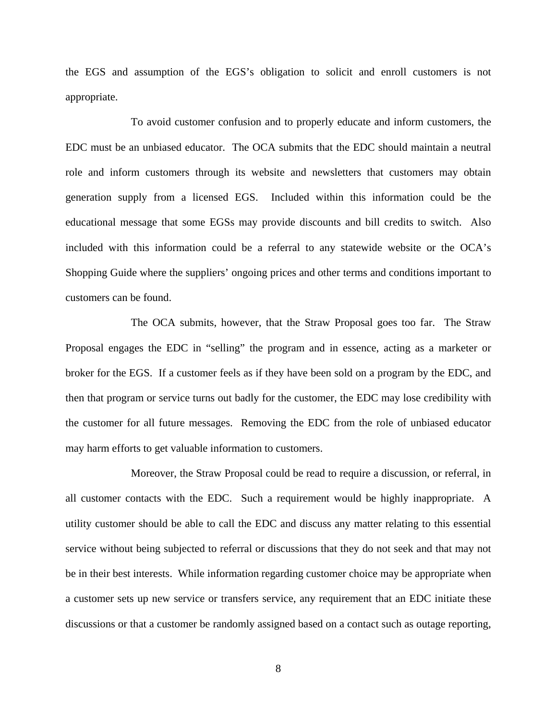the EGS and assumption of the EGS's obligation to solicit and enroll customers is not appropriate.

 To avoid customer confusion and to properly educate and inform customers, the EDC must be an unbiased educator. The OCA submits that the EDC should maintain a neutral role and inform customers through its website and newsletters that customers may obtain generation supply from a licensed EGS. Included within this information could be the educational message that some EGSs may provide discounts and bill credits to switch. Also included with this information could be a referral to any statewide website or the OCA's Shopping Guide where the suppliers' ongoing prices and other terms and conditions important to customers can be found.

 The OCA submits, however, that the Straw Proposal goes too far. The Straw Proposal engages the EDC in "selling" the program and in essence, acting as a marketer or broker for the EGS. If a customer feels as if they have been sold on a program by the EDC, and then that program or service turns out badly for the customer, the EDC may lose credibility with the customer for all future messages. Removing the EDC from the role of unbiased educator may harm efforts to get valuable information to customers.

 Moreover, the Straw Proposal could be read to require a discussion, or referral, in all customer contacts with the EDC. Such a requirement would be highly inappropriate. A utility customer should be able to call the EDC and discuss any matter relating to this essential service without being subjected to referral or discussions that they do not seek and that may not be in their best interests. While information regarding customer choice may be appropriate when a customer sets up new service or transfers service, any requirement that an EDC initiate these discussions or that a customer be randomly assigned based on a contact such as outage reporting,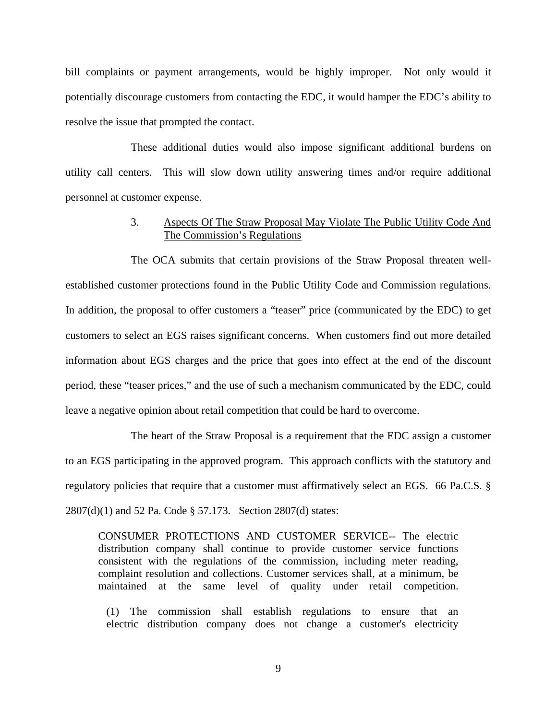bill complaints or payment arrangements, would be highly improper. Not only would it potentially discourage customers from contacting the EDC, it would hamper the EDC's ability to resolve the issue that prompted the contact.

 These additional duties would also impose significant additional burdens on utility call centers. This will slow down utility answering times and/or require additional personnel at customer expense.

## 3. Aspects Of The Straw Proposal May Violate The Public Utility Code And The Commission's Regulations

 The OCA submits that certain provisions of the Straw Proposal threaten wellestablished customer protections found in the Public Utility Code and Commission regulations. In addition, the proposal to offer customers a "teaser" price (communicated by the EDC) to get customers to select an EGS raises significant concerns. When customers find out more detailed information about EGS charges and the price that goes into effect at the end of the discount period, these "teaser prices," and the use of such a mechanism communicated by the EDC, could leave a negative opinion about retail competition that could be hard to overcome.

 The heart of the Straw Proposal is a requirement that the EDC assign a customer to an EGS participating in the approved program. This approach conflicts with the statutory and regulatory policies that require that a customer must affirmatively select an EGS. 66 Pa.C.S. § 2807(d)(1) and 52 Pa. Code § 57.173. Section 2807(d) states:

CONSUMER PROTECTIONS AND CUSTOMER SERVICE-- The electric distribution company shall continue to provide customer service functions consistent with the regulations of the commission, including meter reading, complaint resolution and collections. Customer services shall, at a minimum, be maintained at the same level of quality under retail competition.

 (1) The commission shall establish regulations to ensure that an electric distribution company does not change a customer's electricity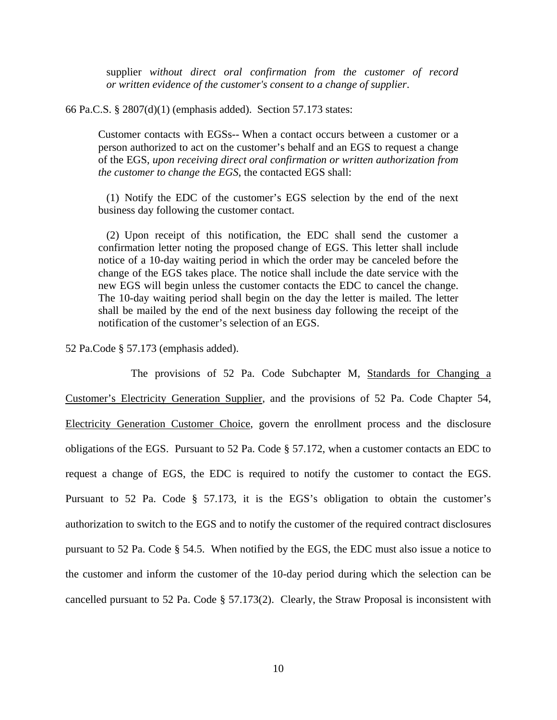supplier *without direct oral confirmation from the customer of record or written evidence of the customer's consent to a change of supplier*.

66 Pa.C.S. § 2807(d)(1) (emphasis added). Section 57.173 states:

Customer contacts with EGSs-- When a contact occurs between a customer or a person authorized to act on the customer's behalf and an EGS to request a change of the EGS, *upon receiving direct oral confirmation or written authorization from the customer to change the EGS*, the contacted EGS shall:

 (1) Notify the EDC of the customer's EGS selection by the end of the next business day following the customer contact.

 (2) Upon receipt of this notification, the EDC shall send the customer a confirmation letter noting the proposed change of EGS. This letter shall include notice of a 10-day waiting period in which the order may be canceled before the change of the EGS takes place. The notice shall include the date service with the new EGS will begin unless the customer contacts the EDC to cancel the change. The 10-day waiting period shall begin on the day the letter is mailed. The letter shall be mailed by the end of the next business day following the receipt of the notification of the customer's selection of an EGS.

52 Pa.Code § 57.173 (emphasis added).

 The provisions of 52 Pa. Code Subchapter M, Standards for Changing a Customer's Electricity Generation Supplier, and the provisions of 52 Pa. Code Chapter 54, Electricity Generation Customer Choice, govern the enrollment process and the disclosure obligations of the EGS. Pursuant to 52 Pa. Code § 57.172, when a customer contacts an EDC to request a change of EGS, the EDC is required to notify the customer to contact the EGS. Pursuant to 52 Pa. Code § 57.173, it is the EGS's obligation to obtain the customer's authorization to switch to the EGS and to notify the customer of the required contract disclosures pursuant to 52 Pa. Code § 54.5. When notified by the EGS, the EDC must also issue a notice to the customer and inform the customer of the 10-day period during which the selection can be cancelled pursuant to 52 Pa. Code § 57.173(2). Clearly, the Straw Proposal is inconsistent with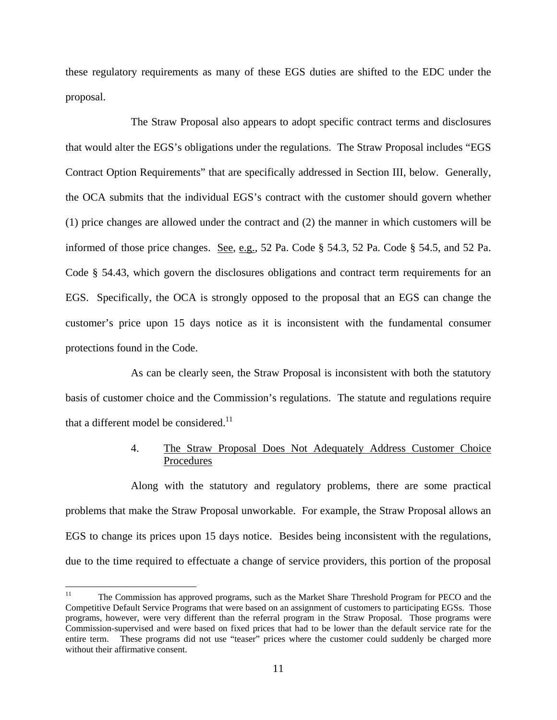these regulatory requirements as many of these EGS duties are shifted to the EDC under the proposal.

 The Straw Proposal also appears to adopt specific contract terms and disclosures that would alter the EGS's obligations under the regulations. The Straw Proposal includes "EGS Contract Option Requirements" that are specifically addressed in Section III, below. Generally, the OCA submits that the individual EGS's contract with the customer should govern whether (1) price changes are allowed under the contract and (2) the manner in which customers will be informed of those price changes. See, e.g., 52 Pa. Code § 54.3, 52 Pa. Code § 54.5, and 52 Pa. Code § 54.43, which govern the disclosures obligations and contract term requirements for an EGS. Specifically, the OCA is strongly opposed to the proposal that an EGS can change the customer's price upon 15 days notice as it is inconsistent with the fundamental consumer protections found in the Code.

 As can be clearly seen, the Straw Proposal is inconsistent with both the statutory basis of customer choice and the Commission's regulations. The statute and regulations require that a different model be considered. $^{11}$ 

# 4. The Straw Proposal Does Not Adequately Address Customer Choice Procedures

 Along with the statutory and regulatory problems, there are some practical problems that make the Straw Proposal unworkable. For example, the Straw Proposal allows an EGS to change its prices upon 15 days notice. Besides being inconsistent with the regulations, due to the time required to effectuate a change of service providers, this portion of the proposal

 $11 -$ 11 The Commission has approved programs, such as the Market Share Threshold Program for PECO and the Competitive Default Service Programs that were based on an assignment of customers to participating EGSs. Those programs, however, were very different than the referral program in the Straw Proposal. Those programs were Commission-supervised and were based on fixed prices that had to be lower than the default service rate for the entire term. These programs did not use "teaser" prices where the customer could suddenly be charged more without their affirmative consent.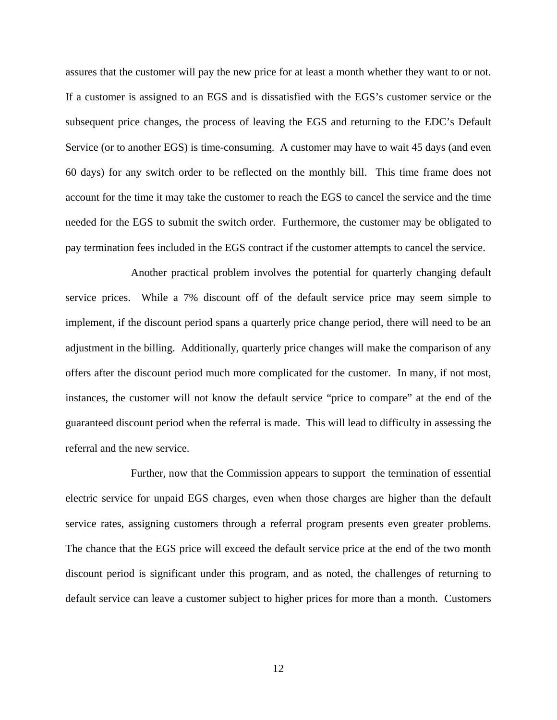assures that the customer will pay the new price for at least a month whether they want to or not. If a customer is assigned to an EGS and is dissatisfied with the EGS's customer service or the subsequent price changes, the process of leaving the EGS and returning to the EDC's Default Service (or to another EGS) is time-consuming. A customer may have to wait 45 days (and even 60 days) for any switch order to be reflected on the monthly bill. This time frame does not account for the time it may take the customer to reach the EGS to cancel the service and the time needed for the EGS to submit the switch order. Furthermore, the customer may be obligated to pay termination fees included in the EGS contract if the customer attempts to cancel the service.

 Another practical problem involves the potential for quarterly changing default service prices. While a 7% discount off of the default service price may seem simple to implement, if the discount period spans a quarterly price change period, there will need to be an adjustment in the billing. Additionally, quarterly price changes will make the comparison of any offers after the discount period much more complicated for the customer. In many, if not most, instances, the customer will not know the default service "price to compare" at the end of the guaranteed discount period when the referral is made. This will lead to difficulty in assessing the referral and the new service.

 Further, now that the Commission appears to support the termination of essential electric service for unpaid EGS charges, even when those charges are higher than the default service rates, assigning customers through a referral program presents even greater problems. The chance that the EGS price will exceed the default service price at the end of the two month discount period is significant under this program, and as noted, the challenges of returning to default service can leave a customer subject to higher prices for more than a month. Customers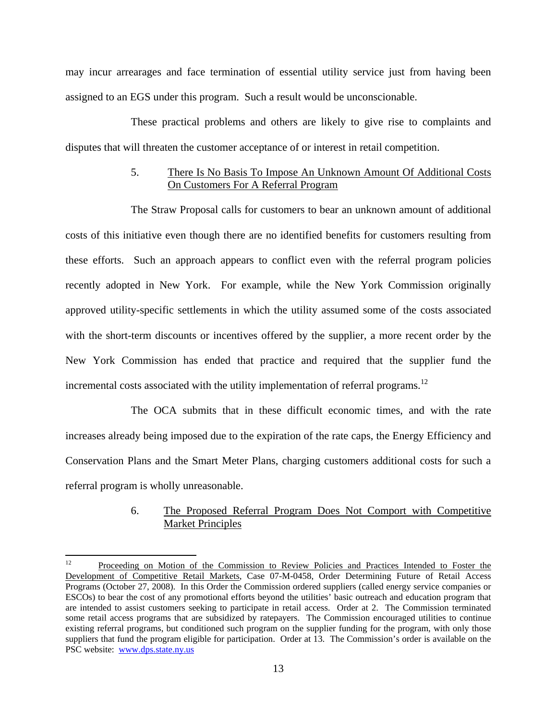may incur arrearages and face termination of essential utility service just from having been assigned to an EGS under this program. Such a result would be unconscionable.

 These practical problems and others are likely to give rise to complaints and disputes that will threaten the customer acceptance of or interest in retail competition.

# 5. There Is No Basis To Impose An Unknown Amount Of Additional Costs On Customers For A Referral Program

 The Straw Proposal calls for customers to bear an unknown amount of additional costs of this initiative even though there are no identified benefits for customers resulting from these efforts. Such an approach appears to conflict even with the referral program policies recently adopted in New York. For example, while the New York Commission originally approved utility-specific settlements in which the utility assumed some of the costs associated with the short-term discounts or incentives offered by the supplier, a more recent order by the New York Commission has ended that practice and required that the supplier fund the incremental costs associated with the utility implementation of referral programs.<sup>12</sup>

 The OCA submits that in these difficult economic times, and with the rate increases already being imposed due to the expiration of the rate caps, the Energy Efficiency and Conservation Plans and the Smart Meter Plans, charging customers additional costs for such a referral program is wholly unreasonable.

## 6. The Proposed Referral Program Does Not Comport with Competitive Market Principles

 $12$ 12 Proceeding on Motion of the Commission to Review Policies and Practices Intended to Foster the Development of Competitive Retail Markets, Case 07-M-0458, Order Determining Future of Retail Access Programs (October 27, 2008). In this Order the Commission ordered suppliers (called energy service companies or ESCOs) to bear the cost of any promotional efforts beyond the utilities' basic outreach and education program that are intended to assist customers seeking to participate in retail access. Order at 2. The Commission terminated some retail access programs that are subsidized by ratepayers. The Commission encouraged utilities to continue existing referral programs, but conditioned such program on the supplier funding for the program, with only those suppliers that fund the program eligible for participation. Order at 13. The Commission's order is available on the PSC website: www.dps.state.ny.us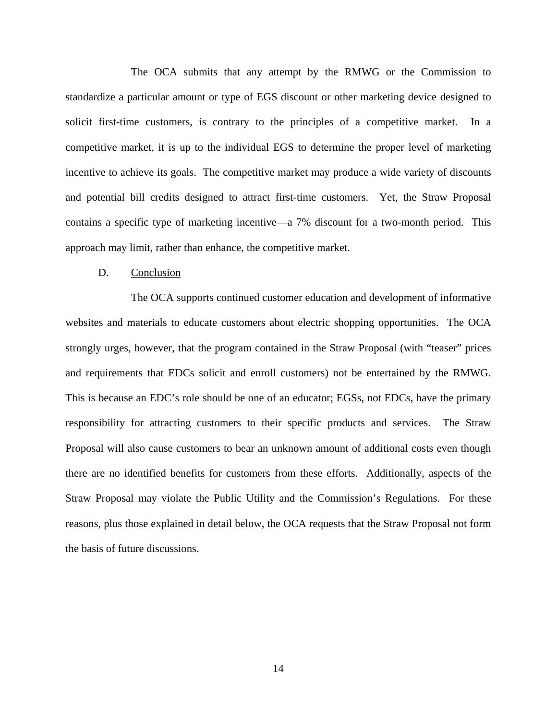The OCA submits that any attempt by the RMWG or the Commission to standardize a particular amount or type of EGS discount or other marketing device designed to solicit first-time customers, is contrary to the principles of a competitive market. In a competitive market, it is up to the individual EGS to determine the proper level of marketing incentive to achieve its goals. The competitive market may produce a wide variety of discounts and potential bill credits designed to attract first-time customers. Yet, the Straw Proposal contains a specific type of marketing incentive—a 7% discount for a two-month period. This approach may limit, rather than enhance, the competitive market.

#### D. Conclusion

 The OCA supports continued customer education and development of informative websites and materials to educate customers about electric shopping opportunities. The OCA strongly urges, however, that the program contained in the Straw Proposal (with "teaser" prices and requirements that EDCs solicit and enroll customers) not be entertained by the RMWG. This is because an EDC's role should be one of an educator; EGSs, not EDCs, have the primary responsibility for attracting customers to their specific products and services. The Straw Proposal will also cause customers to bear an unknown amount of additional costs even though there are no identified benefits for customers from these efforts. Additionally, aspects of the Straw Proposal may violate the Public Utility and the Commission's Regulations. For these reasons, plus those explained in detail below, the OCA requests that the Straw Proposal not form the basis of future discussions.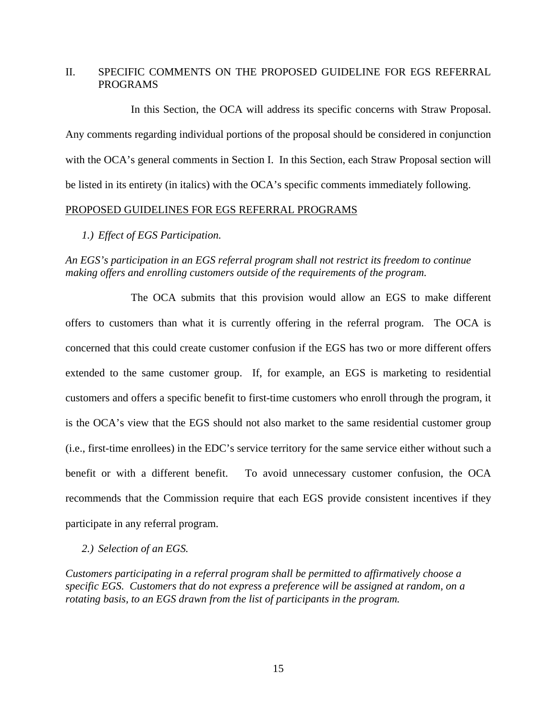## II. SPECIFIC COMMENTS ON THE PROPOSED GUIDELINE FOR EGS REFERRAL PROGRAMS

 In this Section, the OCA will address its specific concerns with Straw Proposal. Any comments regarding individual portions of the proposal should be considered in conjunction with the OCA's general comments in Section I. In this Section, each Straw Proposal section will be listed in its entirety (in italics) with the OCA's specific comments immediately following.

## PROPOSED GUIDELINES FOR EGS REFERRAL PROGRAMS

### *1.) Effect of EGS Participation.*

*An EGS's participation in an EGS referral program shall not restrict its freedom to continue making offers and enrolling customers outside of the requirements of the program.* 

 The OCA submits that this provision would allow an EGS to make different offers to customers than what it is currently offering in the referral program. The OCA is concerned that this could create customer confusion if the EGS has two or more different offers extended to the same customer group. If, for example, an EGS is marketing to residential customers and offers a specific benefit to first-time customers who enroll through the program, it is the OCA's view that the EGS should not also market to the same residential customer group (i.e., first-time enrollees) in the EDC's service territory for the same service either without such a benefit or with a different benefit. To avoid unnecessary customer confusion, the OCA recommends that the Commission require that each EGS provide consistent incentives if they participate in any referral program.

#### *2.) Selection of an EGS.*

*Customers participating in a referral program shall be permitted to affirmatively choose a specific EGS. Customers that do not express a preference will be assigned at random, on a rotating basis, to an EGS drawn from the list of participants in the program.*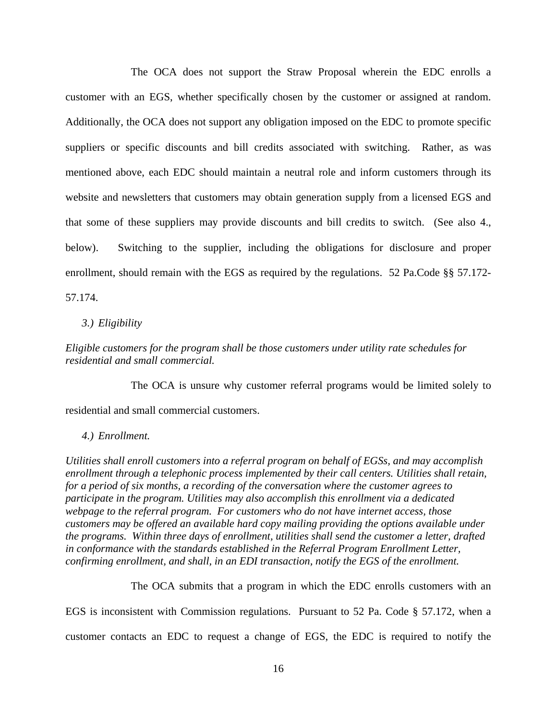The OCA does not support the Straw Proposal wherein the EDC enrolls a customer with an EGS, whether specifically chosen by the customer or assigned at random. Additionally, the OCA does not support any obligation imposed on the EDC to promote specific suppliers or specific discounts and bill credits associated with switching. Rather, as was mentioned above, each EDC should maintain a neutral role and inform customers through its website and newsletters that customers may obtain generation supply from a licensed EGS and that some of these suppliers may provide discounts and bill credits to switch. (See also 4., below). Switching to the supplier, including the obligations for disclosure and proper enrollment, should remain with the EGS as required by the regulations. 52 Pa.Code §§ 57.172-

57.174.

## *3.) Eligibility*

*Eligible customers for the program shall be those customers under utility rate schedules for residential and small commercial.* 

 The OCA is unsure why customer referral programs would be limited solely to residential and small commercial customers.

## *4.) Enrollment.*

*Utilities shall enroll customers into a referral program on behalf of EGSs, and may accomplish enrollment through a telephonic process implemented by their call centers. Utilities shall retain, for a period of six months, a recording of the conversation where the customer agrees to participate in the program. Utilities may also accomplish this enrollment via a dedicated webpage to the referral program. For customers who do not have internet access, those customers may be offered an available hard copy mailing providing the options available under the programs. Within three days of enrollment, utilities shall send the customer a letter, drafted in conformance with the standards established in the Referral Program Enrollment Letter, confirming enrollment, and shall, in an EDI transaction, notify the EGS of the enrollment.* 

The OCA submits that a program in which the EDC enrolls customers with an

EGS is inconsistent with Commission regulations. Pursuant to 52 Pa. Code § 57.172, when a customer contacts an EDC to request a change of EGS, the EDC is required to notify the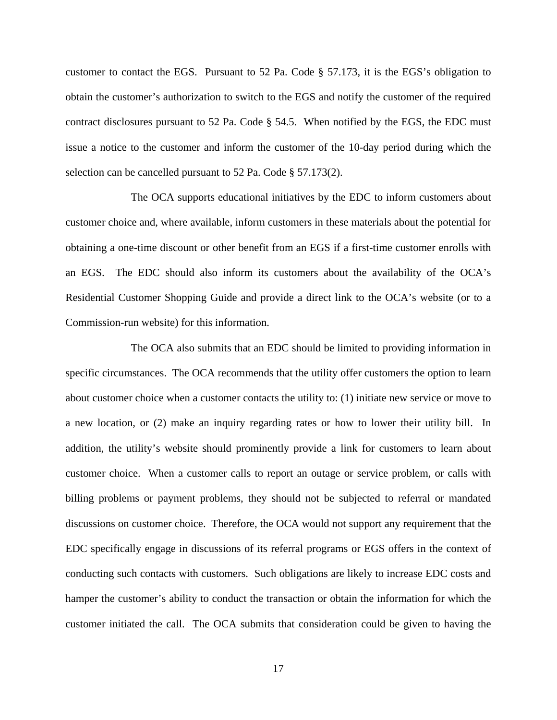customer to contact the EGS. Pursuant to 52 Pa. Code § 57.173, it is the EGS's obligation to obtain the customer's authorization to switch to the EGS and notify the customer of the required contract disclosures pursuant to 52 Pa. Code § 54.5. When notified by the EGS, the EDC must issue a notice to the customer and inform the customer of the 10-day period during which the selection can be cancelled pursuant to 52 Pa. Code § 57.173(2).

 The OCA supports educational initiatives by the EDC to inform customers about customer choice and, where available, inform customers in these materials about the potential for obtaining a one-time discount or other benefit from an EGS if a first-time customer enrolls with an EGS. The EDC should also inform its customers about the availability of the OCA's Residential Customer Shopping Guide and provide a direct link to the OCA's website (or to a Commission-run website) for this information.

 The OCA also submits that an EDC should be limited to providing information in specific circumstances. The OCA recommends that the utility offer customers the option to learn about customer choice when a customer contacts the utility to: (1) initiate new service or move to a new location, or (2) make an inquiry regarding rates or how to lower their utility bill. In addition, the utility's website should prominently provide a link for customers to learn about customer choice. When a customer calls to report an outage or service problem, or calls with billing problems or payment problems, they should not be subjected to referral or mandated discussions on customer choice. Therefore, the OCA would not support any requirement that the EDC specifically engage in discussions of its referral programs or EGS offers in the context of conducting such contacts with customers. Such obligations are likely to increase EDC costs and hamper the customer's ability to conduct the transaction or obtain the information for which the customer initiated the call. The OCA submits that consideration could be given to having the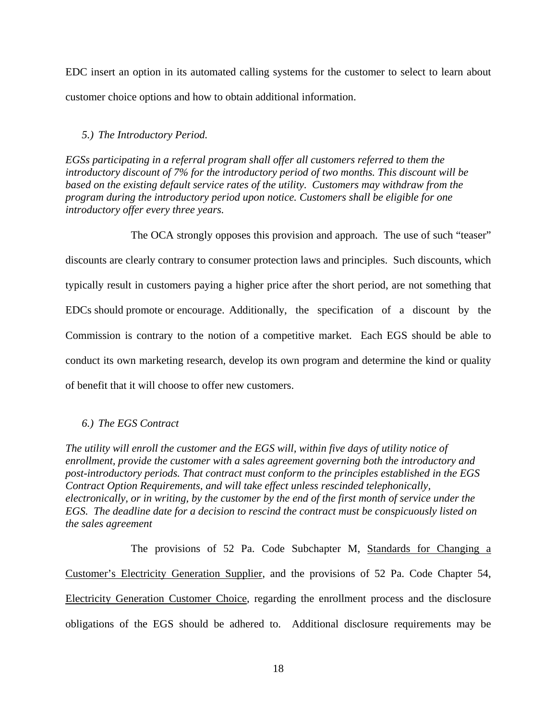EDC insert an option in its automated calling systems for the customer to select to learn about customer choice options and how to obtain additional information.

# *5.) The Introductory Period.*

*EGSs participating in a referral program shall offer all customers referred to them the introductory discount of 7% for the introductory period of two months. This discount will be based on the existing default service rates of the utility. Customers may withdraw from the program during the introductory period upon notice. Customers shall be eligible for one introductory offer every three years.* 

 The OCA strongly opposes this provision and approach. The use of such "teaser" discounts are clearly contrary to consumer protection laws and principles. Such discounts, which typically result in customers paying a higher price after the short period, are not something that EDCs should promote or encourage. Additionally, the specification of a discount by the Commission is contrary to the notion of a competitive market. Each EGS should be able to conduct its own marketing research, develop its own program and determine the kind or quality of benefit that it will choose to offer new customers.

# *6.) The EGS Contract*

*The utility will enroll the customer and the EGS will, within five days of utility notice of enrollment, provide the customer with a sales agreement governing both the introductory and post-introductory periods. That contract must conform to the principles established in the EGS Contract Option Requirements, and will take effect unless rescinded telephonically, electronically, or in writing, by the customer by the end of the first month of service under the EGS. The deadline date for a decision to rescind the contract must be conspicuously listed on the sales agreement* 

 The provisions of 52 Pa. Code Subchapter M, Standards for Changing a Customer's Electricity Generation Supplier, and the provisions of 52 Pa. Code Chapter 54, Electricity Generation Customer Choice, regarding the enrollment process and the disclosure obligations of the EGS should be adhered to. Additional disclosure requirements may be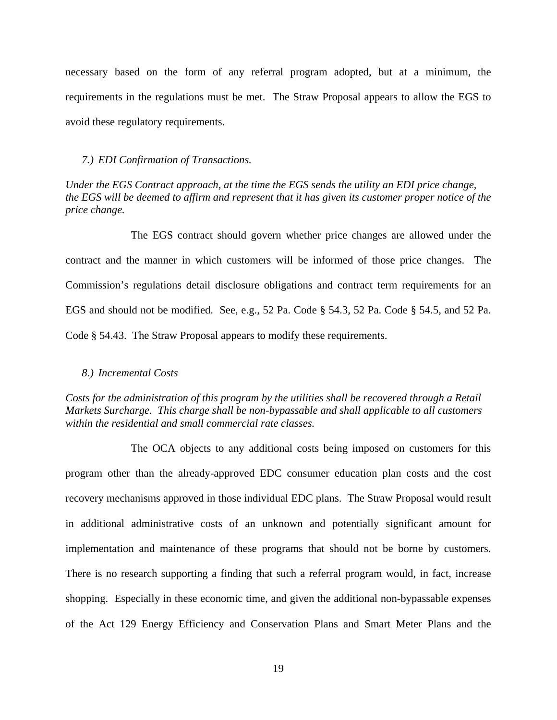necessary based on the form of any referral program adopted, but at a minimum, the requirements in the regulations must be met. The Straw Proposal appears to allow the EGS to avoid these regulatory requirements.

#### *7.) EDI Confirmation of Transactions.*

*Under the EGS Contract approach, at the time the EGS sends the utility an EDI price change, the EGS will be deemed to affirm and represent that it has given its customer proper notice of the price change.* 

 The EGS contract should govern whether price changes are allowed under the contract and the manner in which customers will be informed of those price changes. The Commission's regulations detail disclosure obligations and contract term requirements for an EGS and should not be modified. See, e.g., 52 Pa. Code § 54.3, 52 Pa. Code § 54.5, and 52 Pa. Code § 54.43. The Straw Proposal appears to modify these requirements.

## *8.) Incremental Costs*

*Costs for the administration of this program by the utilities shall be recovered through a Retail Markets Surcharge. This charge shall be non-bypassable and shall applicable to all customers within the residential and small commercial rate classes.* 

 The OCA objects to any additional costs being imposed on customers for this program other than the already-approved EDC consumer education plan costs and the cost recovery mechanisms approved in those individual EDC plans. The Straw Proposal would result in additional administrative costs of an unknown and potentially significant amount for implementation and maintenance of these programs that should not be borne by customers. There is no research supporting a finding that such a referral program would, in fact, increase shopping. Especially in these economic time, and given the additional non-bypassable expenses of the Act 129 Energy Efficiency and Conservation Plans and Smart Meter Plans and the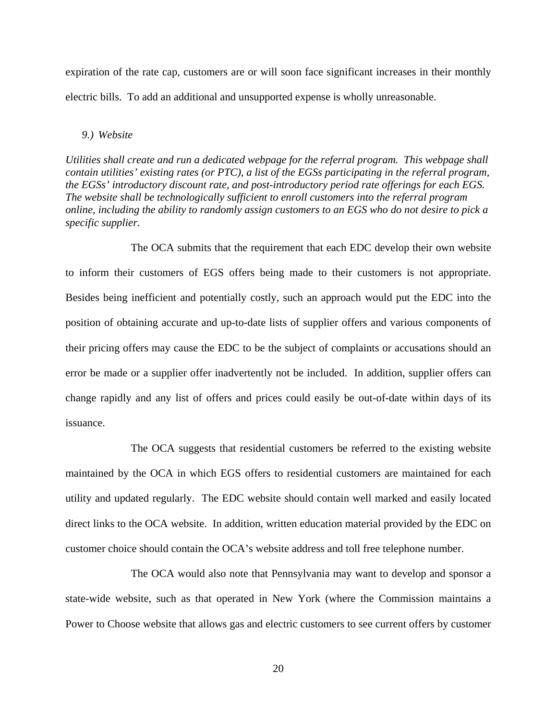expiration of the rate cap, customers are or will soon face significant increases in their monthly electric bills. To add an additional and unsupported expense is wholly unreasonable.

#### *9.) Website*

*Utilities shall create and run a dedicated webpage for the referral program. This webpage shall contain utilities' existing rates (or PTC), a list of the EGSs participating in the referral program, the EGSs' introductory discount rate, and post-introductory period rate offerings for each EGS. The website shall be technologically sufficient to enroll customers into the referral program online, including the ability to randomly assign customers to an EGS who do not desire to pick a specific supplier.* 

 The OCA submits that the requirement that each EDC develop their own website to inform their customers of EGS offers being made to their customers is not appropriate. Besides being inefficient and potentially costly, such an approach would put the EDC into the position of obtaining accurate and up-to-date lists of supplier offers and various components of their pricing offers may cause the EDC to be the subject of complaints or accusations should an error be made or a supplier offer inadvertently not be included. In addition, supplier offers can change rapidly and any list of offers and prices could easily be out-of-date within days of its issuance.

 The OCA suggests that residential customers be referred to the existing website maintained by the OCA in which EGS offers to residential customers are maintained for each utility and updated regularly. The EDC website should contain well marked and easily located direct links to the OCA website. In addition, written education material provided by the EDC on customer choice should contain the OCA's website address and toll free telephone number.

 The OCA would also note that Pennsylvania may want to develop and sponsor a state-wide website, such as that operated in New York (where the Commission maintains a Power to Choose website that allows gas and electric customers to see current offers by customer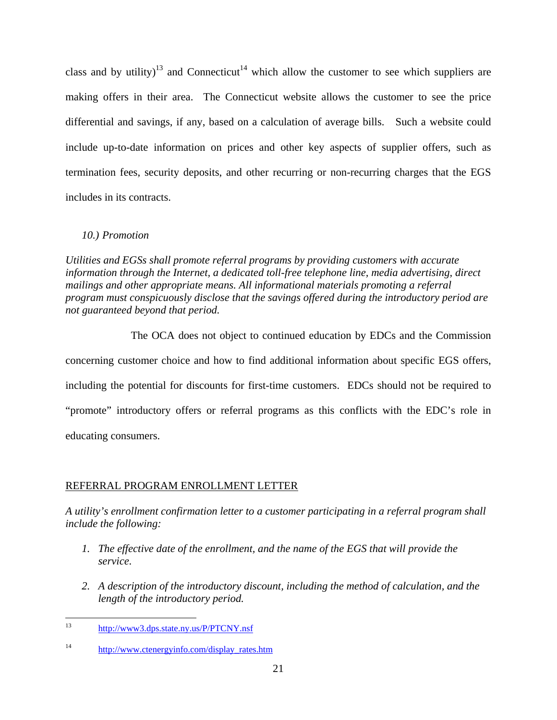class and by utility)<sup>13</sup> and Connecticut<sup>14</sup> which allow the customer to see which suppliers are making offers in their area. The Connecticut website allows the customer to see the price differential and savings, if any, based on a calculation of average bills. Such a website could include up-to-date information on prices and other key aspects of supplier offers, such as termination fees, security deposits, and other recurring or non-recurring charges that the EGS includes in its contracts.

# *10.) Promotion*

*Utilities and EGSs shall promote referral programs by providing customers with accurate information through the Internet, a dedicated toll-free telephone line, media advertising, direct mailings and other appropriate means. All informational materials promoting a referral program must conspicuously disclose that the savings offered during the introductory period are not guaranteed beyond that period.* 

 The OCA does not object to continued education by EDCs and the Commission concerning customer choice and how to find additional information about specific EGS offers, including the potential for discounts for first-time customers. EDCs should not be required to "promote" introductory offers or referral programs as this conflicts with the EDC's role in educating consumers.

# REFERRAL PROGRAM ENROLLMENT LETTER

*A utility's enrollment confirmation letter to a customer participating in a referral program shall include the following:* 

- *1. The effective date of the enrollment, and the name of the EGS that will provide the service.*
- *2. A description of the introductory discount, including the method of calculation, and the length of the introductory period.*

 $13$ http://www3.dps.state.ny.us/P/PTCNY.nsf

<sup>14</sup> http://www.ctenergyinfo.com/display\_rates.htm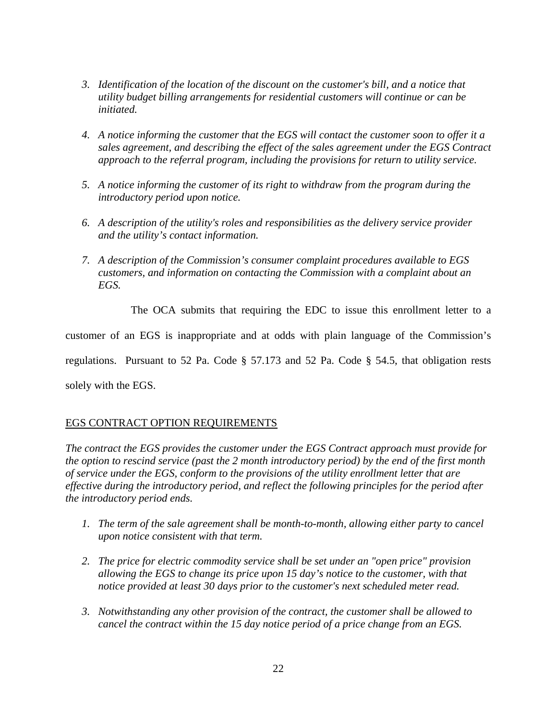- *3. Identification of the location of the discount on the customer's bill, and a notice that utility budget billing arrangements for residential customers will continue or can be initiated.*
- *4. A notice informing the customer that the EGS will contact the customer soon to offer it a sales agreement, and describing the effect of the sales agreement under the EGS Contract approach to the referral program, including the provisions for return to utility service.*
- *5. A notice informing the customer of its right to withdraw from the program during the introductory period upon notice.*
- *6. A description of the utility's roles and responsibilities as the delivery service provider and the utility's contact information.*
- *7. A description of the Commission's consumer complaint procedures available to EGS customers, and information on contacting the Commission with a complaint about an EGS.*

The OCA submits that requiring the EDC to issue this enrollment letter to a

customer of an EGS is inappropriate and at odds with plain language of the Commission's

regulations. Pursuant to 52 Pa. Code § 57.173 and 52 Pa. Code § 54.5, that obligation rests

solely with the EGS.

## EGS CONTRACT OPTION REQUIREMENTS

*The contract the EGS provides the customer under the EGS Contract approach must provide for the option to rescind service (past the 2 month introductory period) by the end of the first month of service under the EGS, conform to the provisions of the utility enrollment letter that are effective during the introductory period, and reflect the following principles for the period after the introductory period ends.* 

- *1. The term of the sale agreement shall be month-to-month, allowing either party to cancel upon notice consistent with that term.*
- *2. The price for electric commodity service shall be set under an "open price" provision allowing the EGS to change its price upon 15 day's notice to the customer, with that notice provided at least 30 days prior to the customer's next scheduled meter read.*
- *3. Notwithstanding any other provision of the contract, the customer shall be allowed to cancel the contract within the 15 day notice period of a price change from an EGS.*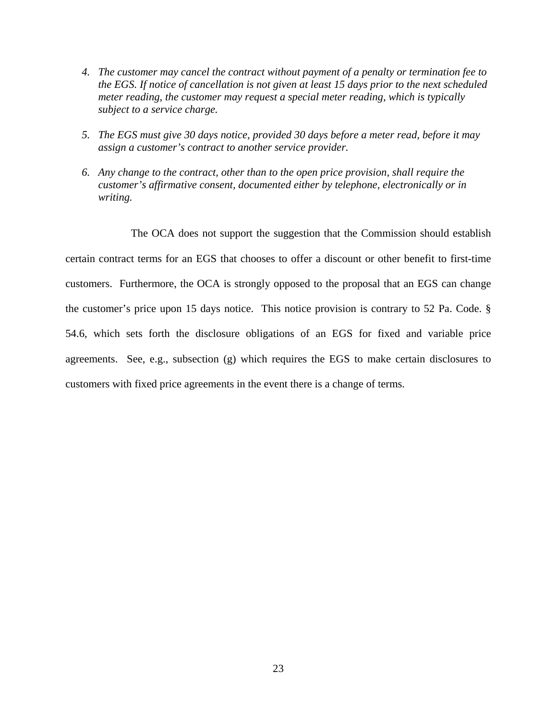- *4. The customer may cancel the contract without payment of a penalty or termination fee to the EGS. If notice of cancellation is not given at least 15 days prior to the next scheduled meter reading, the customer may request a special meter reading, which is typically subject to a service charge.*
- *5. The EGS must give 30 days notice, provided 30 days before a meter read, before it may assign a customer's contract to another service provider.*
- *6. Any change to the contract, other than to the open price provision, shall require the customer's affirmative consent, documented either by telephone, electronically or in writing.*

 The OCA does not support the suggestion that the Commission should establish certain contract terms for an EGS that chooses to offer a discount or other benefit to first-time customers. Furthermore, the OCA is strongly opposed to the proposal that an EGS can change the customer's price upon 15 days notice. This notice provision is contrary to 52 Pa. Code. § 54.6, which sets forth the disclosure obligations of an EGS for fixed and variable price agreements. See, e.g., subsection (g) which requires the EGS to make certain disclosures to customers with fixed price agreements in the event there is a change of terms.